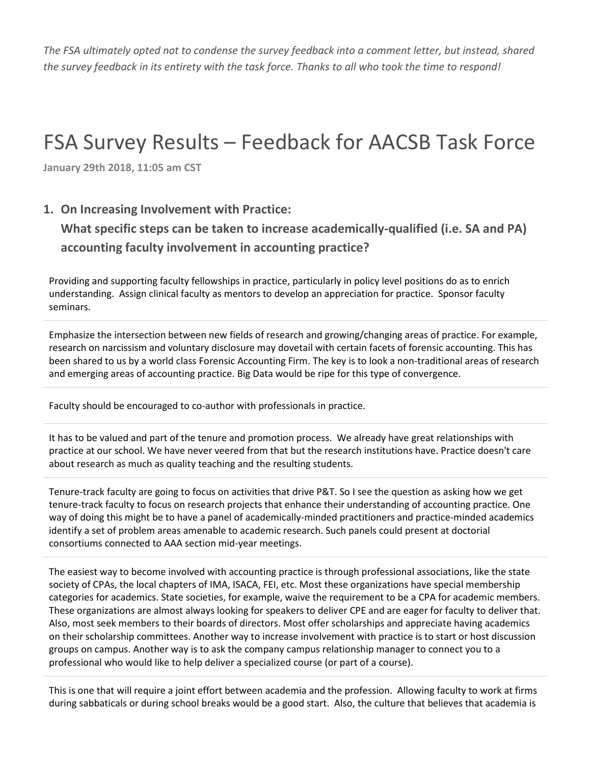*The FSA ultimately opted not to condense the survey feedback into a comment letter, but instead, shared the survey feedback in its entirety with the task force. Thanks to all who took the time to respond!*

# FSA Survey Results – Feedback for AACSB Task Force

**January 29th 2018, 11:05 am CST**

#### **1. On Increasing Involvement with Practice:**

**What specific steps can be taken to increase academically-qualified (i.e. SA and PA) accounting faculty involvement in accounting practice?**

Providing and supporting faculty fellowships in practice, particularly in policy level positions do as to enrich understanding. Assign clinical faculty as mentors to develop an appreciation for practice. Sponsor faculty seminars.

Emphasize the intersection between new fields of research and growing/changing areas of practice. For example, research on narcissism and voluntary disclosure may dovetail with certain facets of forensic accounting. This has been shared to us by a world class Forensic Accounting Firm. The key is to look a non-traditional areas of research and emerging areas of accounting practice. Big Data would be ripe for this type of convergence.

Faculty should be encouraged to co-author with professionals in practice.

It has to be valued and part of the tenure and promotion process. We already have great relationships with practice at our school. We have never veered from that but the research institutions have. Practice doesn't care about research as much as quality teaching and the resulting students.

Tenure-track faculty are going to focus on activities that drive P&T. So I see the question as asking how we get tenure-track faculty to focus on research projects that enhance their understanding of accounting practice. One way of doing this might be to have a panel of academically-minded practitioners and practice-minded academics identify a set of problem areas amenable to academic research. Such panels could present at doctorial consortiums connected to AAA section mid-year meetings.

The easiest way to become involved with accounting practice is through professional associations, like the state society of CPAs, the local chapters of IMA, ISACA, FEI, etc. Most these organizations have special membership categories for academics. State societies, for example, waive the requirement to be a CPA for academic members. These organizations are almost always looking for speakers to deliver CPE and are eager for faculty to deliver that. Also, most seek members to their boards of directors. Most offer scholarships and appreciate having academics on their scholarship committees. Another way to increase involvement with practice is to start or host discussion groups on campus. Another way is to ask the company campus relationship manager to connect you to a professional who would like to help deliver a specialized course (or part of a course).

This is one that will require a joint effort between academia and the profession. Allowing faculty to work at firms during sabbaticals or during school breaks would be a good start. Also, the culture that believes that academia is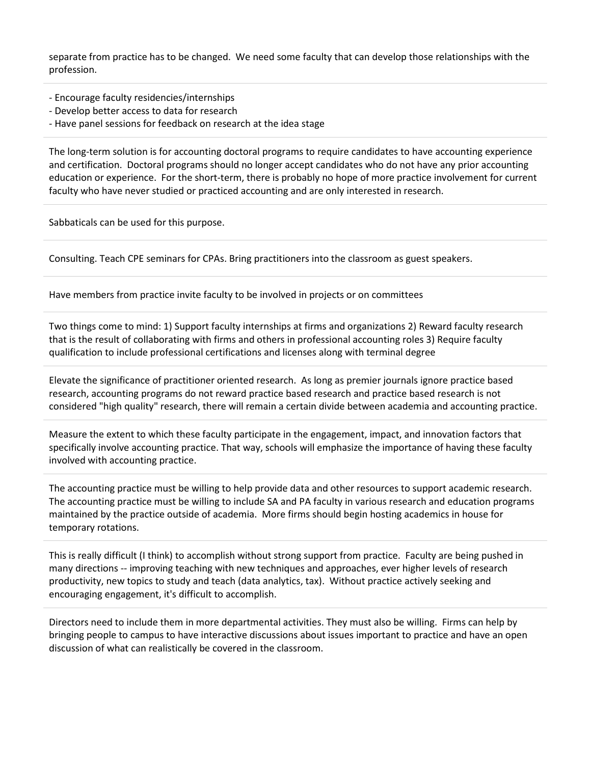separate from practice has to be changed. We need some faculty that can develop those relationships with the profession.

- Encourage faculty residencies/internships
- Develop better access to data for research
- Have panel sessions for feedback on research at the idea stage

The long-term solution is for accounting doctoral programs to require candidates to have accounting experience and certification. Doctoral programs should no longer accept candidates who do not have any prior accounting education or experience. For the short-term, there is probably no hope of more practice involvement for current faculty who have never studied or practiced accounting and are only interested in research.

Sabbaticals can be used for this purpose.

Consulting. Teach CPE seminars for CPAs. Bring practitioners into the classroom as guest speakers.

Have members from practice invite faculty to be involved in projects or on committees

Two things come to mind: 1) Support faculty internships at firms and organizations 2) Reward faculty research that is the result of collaborating with firms and others in professional accounting roles 3) Require faculty qualification to include professional certifications and licenses along with terminal degree

Elevate the significance of practitioner oriented research. As long as premier journals ignore practice based research, accounting programs do not reward practice based research and practice based research is not considered "high quality" research, there will remain a certain divide between academia and accounting practice.

Measure the extent to which these faculty participate in the engagement, impact, and innovation factors that specifically involve accounting practice. That way, schools will emphasize the importance of having these faculty involved with accounting practice.

The accounting practice must be willing to help provide data and other resources to support academic research. The accounting practice must be willing to include SA and PA faculty in various research and education programs maintained by the practice outside of academia. More firms should begin hosting academics in house for temporary rotations.

This is really difficult (I think) to accomplish without strong support from practice. Faculty are being pushed in many directions -- improving teaching with new techniques and approaches, ever higher levels of research productivity, new topics to study and teach (data analytics, tax). Without practice actively seeking and encouraging engagement, it's difficult to accomplish.

Directors need to include them in more departmental activities. They must also be willing. Firms can help by bringing people to campus to have interactive discussions about issues important to practice and have an open discussion of what can realistically be covered in the classroom.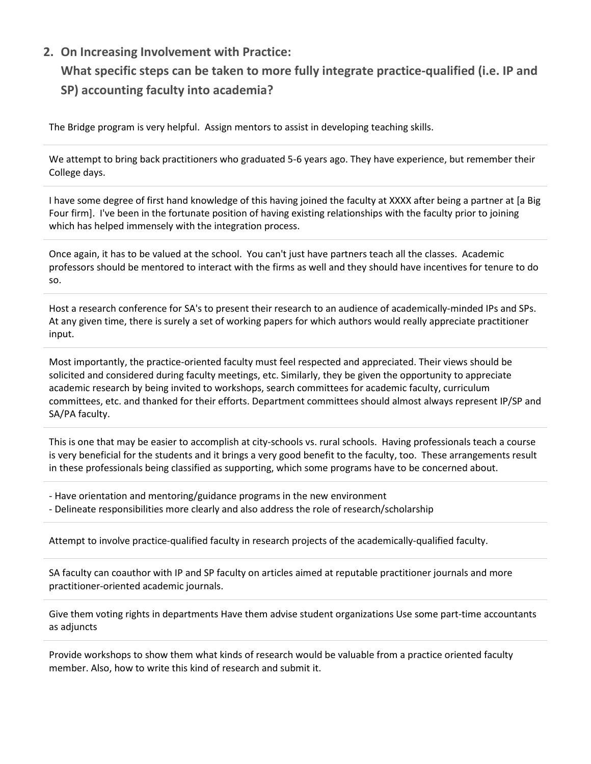## **2. On Increasing Involvement with Practice:**

## **What specific steps can be taken to more fully integrate practice-qualified (i.e. IP and SP) accounting faculty into academia?**

The Bridge program is very helpful. Assign mentors to assist in developing teaching skills.

We attempt to bring back practitioners who graduated 5-6 years ago. They have experience, but remember their College days.

I have some degree of first hand knowledge of this having joined the faculty at XXXX after being a partner at [a Big Four firm]. I've been in the fortunate position of having existing relationships with the faculty prior to joining which has helped immensely with the integration process.

Once again, it has to be valued at the school. You can't just have partners teach all the classes. Academic professors should be mentored to interact with the firms as well and they should have incentives for tenure to do so.

Host a research conference for SA's to present their research to an audience of academically-minded IPs and SPs. At any given time, there is surely a set of working papers for which authors would really appreciate practitioner input.

Most importantly, the practice-oriented faculty must feel respected and appreciated. Their views should be solicited and considered during faculty meetings, etc. Similarly, they be given the opportunity to appreciate academic research by being invited to workshops, search committees for academic faculty, curriculum committees, etc. and thanked for their efforts. Department committees should almost always represent IP/SP and SA/PA faculty.

This is one that may be easier to accomplish at city-schools vs. rural schools. Having professionals teach a course is very beneficial for the students and it brings a very good benefit to the faculty, too. These arrangements result in these professionals being classified as supporting, which some programs have to be concerned about.

- Have orientation and mentoring/guidance programs in the new environment

- Delineate responsibilities more clearly and also address the role of research/scholarship

Attempt to involve practice-qualified faculty in research projects of the academically-qualified faculty.

SA faculty can coauthor with IP and SP faculty on articles aimed at reputable practitioner journals and more practitioner-oriented academic journals.

Give them voting rights in departments Have them advise student organizations Use some part-time accountants as adjuncts

Provide workshops to show them what kinds of research would be valuable from a practice oriented faculty member. Also, how to write this kind of research and submit it.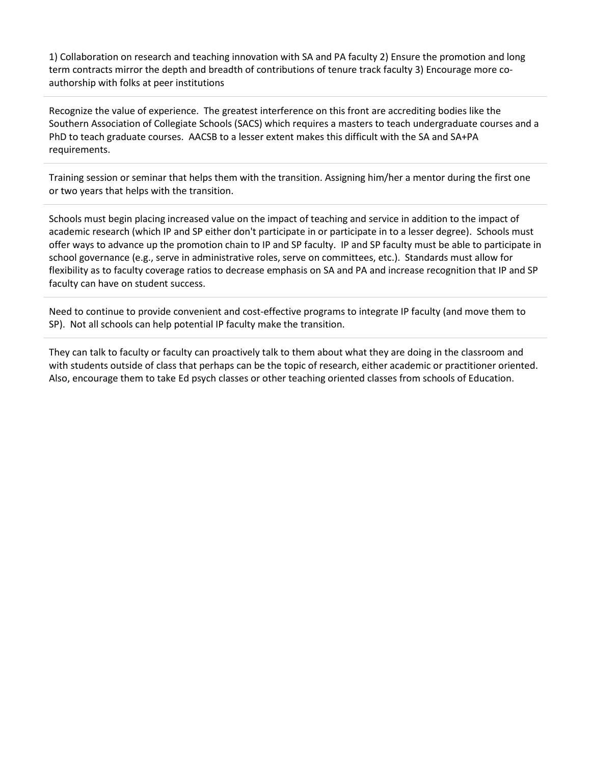1) Collaboration on research and teaching innovation with SA and PA faculty 2) Ensure the promotion and long term contracts mirror the depth and breadth of contributions of tenure track faculty 3) Encourage more coauthorship with folks at peer institutions

Recognize the value of experience. The greatest interference on this front are accrediting bodies like the Southern Association of Collegiate Schools (SACS) which requires a masters to teach undergraduate courses and a PhD to teach graduate courses. AACSB to a lesser extent makes this difficult with the SA and SA+PA requirements.

Training session or seminar that helps them with the transition. Assigning him/her a mentor during the first one or two years that helps with the transition.

Schools must begin placing increased value on the impact of teaching and service in addition to the impact of academic research (which IP and SP either don't participate in or participate in to a lesser degree). Schools must offer ways to advance up the promotion chain to IP and SP faculty. IP and SP faculty must be able to participate in school governance (e.g., serve in administrative roles, serve on committees, etc.). Standards must allow for flexibility as to faculty coverage ratios to decrease emphasis on SA and PA and increase recognition that IP and SP faculty can have on student success.

Need to continue to provide convenient and cost-effective programs to integrate IP faculty (and move them to SP). Not all schools can help potential IP faculty make the transition.

They can talk to faculty or faculty can proactively talk to them about what they are doing in the classroom and with students outside of class that perhaps can be the topic of research, either academic or practitioner oriented. Also, encourage them to take Ed psych classes or other teaching oriented classes from schools of Education.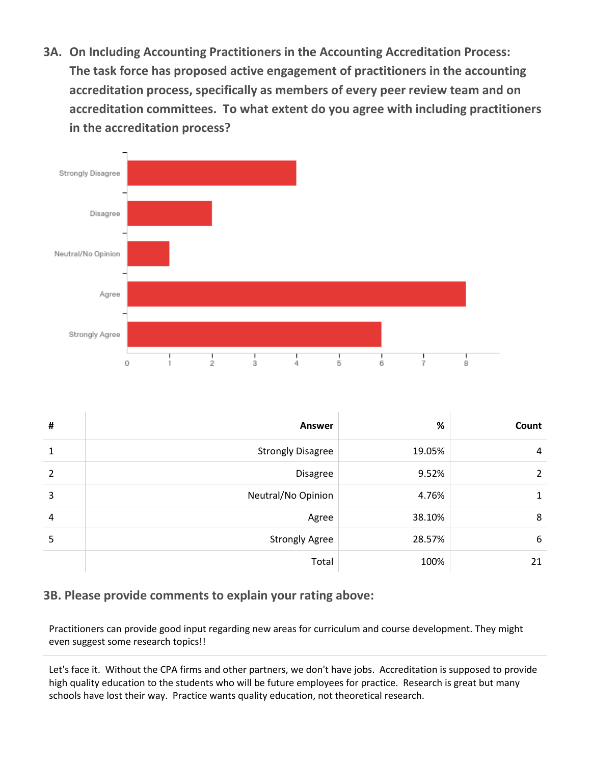**3A. On Including Accounting Practitioners in the Accounting Accreditation Process: The task force has proposed active engagement of practitioners in the accounting accreditation process, specifically as members of every peer review team and on accreditation committees. To what extent do you agree with including practitioners in the accreditation process?**



| #            | <b>Answer</b>            | %      | Count |
|--------------|--------------------------|--------|-------|
| $\mathbf{1}$ | <b>Strongly Disagree</b> | 19.05% | 4     |
| 2            | <b>Disagree</b>          | 9.52%  | 2     |
| 3            | Neutral/No Opinion       | 4.76%  |       |
| 4            | Agree                    | 38.10% | 8     |
| 5            | <b>Strongly Agree</b>    | 28.57% | 6     |
|              | Total                    | 100%   | 21    |

#### **3B. Please provide comments to explain your rating above:**

Practitioners can provide good input regarding new areas for curriculum and course development. They might even suggest some research topics!!

Let's face it. Without the CPA firms and other partners, we don't have jobs. Accreditation is supposed to provide high quality education to the students who will be future employees for practice. Research is great but many schools have lost their way. Practice wants quality education, not theoretical research.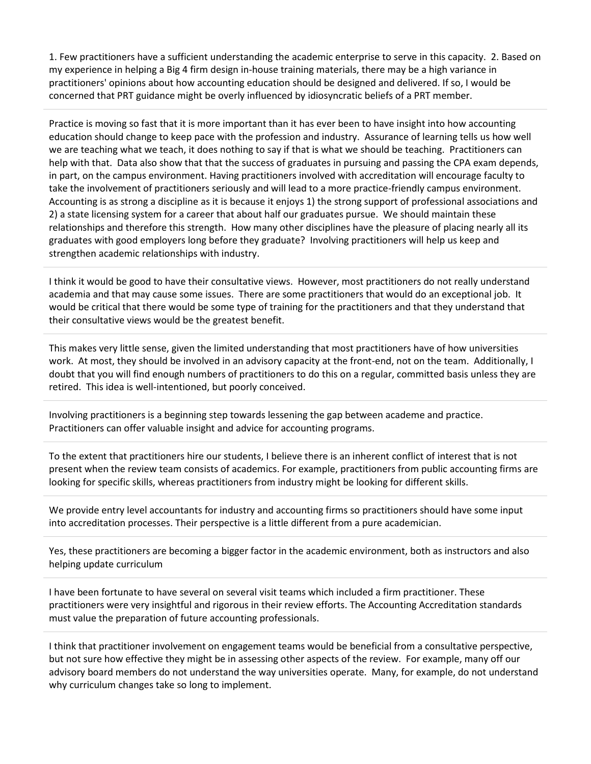1. Few practitioners have a sufficient understanding the academic enterprise to serve in this capacity. 2. Based on my experience in helping a Big 4 firm design in-house training materials, there may be a high variance in practitioners' opinions about how accounting education should be designed and delivered. If so, I would be concerned that PRT guidance might be overly influenced by idiosyncratic beliefs of a PRT member.

Practice is moving so fast that it is more important than it has ever been to have insight into how accounting education should change to keep pace with the profession and industry. Assurance of learning tells us how well we are teaching what we teach, it does nothing to say if that is what we should be teaching. Practitioners can help with that. Data also show that that the success of graduates in pursuing and passing the CPA exam depends, in part, on the campus environment. Having practitioners involved with accreditation will encourage faculty to take the involvement of practitioners seriously and will lead to a more practice-friendly campus environment. Accounting is as strong a discipline as it is because it enjoys 1) the strong support of professional associations and 2) a state licensing system for a career that about half our graduates pursue. We should maintain these relationships and therefore this strength. How many other disciplines have the pleasure of placing nearly all its graduates with good employers long before they graduate? Involving practitioners will help us keep and strengthen academic relationships with industry.

I think it would be good to have their consultative views. However, most practitioners do not really understand academia and that may cause some issues. There are some practitioners that would do an exceptional job. It would be critical that there would be some type of training for the practitioners and that they understand that their consultative views would be the greatest benefit.

This makes very little sense, given the limited understanding that most practitioners have of how universities work. At most, they should be involved in an advisory capacity at the front-end, not on the team. Additionally, I doubt that you will find enough numbers of practitioners to do this on a regular, committed basis unless they are retired. This idea is well-intentioned, but poorly conceived.

Involving practitioners is a beginning step towards lessening the gap between academe and practice. Practitioners can offer valuable insight and advice for accounting programs.

To the extent that practitioners hire our students, I believe there is an inherent conflict of interest that is not present when the review team consists of academics. For example, practitioners from public accounting firms are looking for specific skills, whereas practitioners from industry might be looking for different skills.

We provide entry level accountants for industry and accounting firms so practitioners should have some input into accreditation processes. Their perspective is a little different from a pure academician.

Yes, these practitioners are becoming a bigger factor in the academic environment, both as instructors and also helping update curriculum

I have been fortunate to have several on several visit teams which included a firm practitioner. These practitioners were very insightful and rigorous in their review efforts. The Accounting Accreditation standards must value the preparation of future accounting professionals.

I think that practitioner involvement on engagement teams would be beneficial from a consultative perspective, but not sure how effective they might be in assessing other aspects of the review. For example, many off our advisory board members do not understand the way universities operate. Many, for example, do not understand why curriculum changes take so long to implement.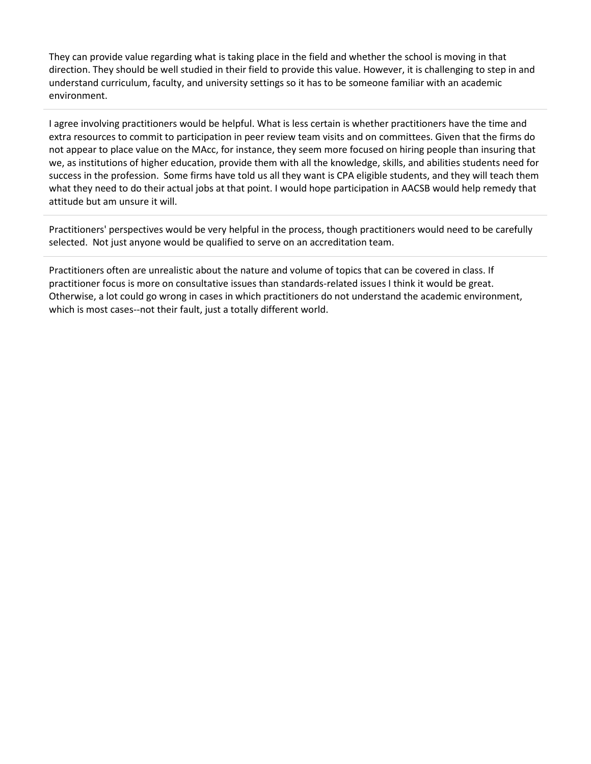They can provide value regarding what is taking place in the field and whether the school is moving in that direction. They should be well studied in their field to provide this value. However, it is challenging to step in and understand curriculum, faculty, and university settings so it has to be someone familiar with an academic environment.

I agree involving practitioners would be helpful. What is less certain is whether practitioners have the time and extra resources to commit to participation in peer review team visits and on committees. Given that the firms do not appear to place value on the MAcc, for instance, they seem more focused on hiring people than insuring that we, as institutions of higher education, provide them with all the knowledge, skills, and abilities students need for success in the profession. Some firms have told us all they want is CPA eligible students, and they will teach them what they need to do their actual jobs at that point. I would hope participation in AACSB would help remedy that attitude but am unsure it will.

Practitioners' perspectives would be very helpful in the process, though practitioners would need to be carefully selected. Not just anyone would be qualified to serve on an accreditation team.

Practitioners often are unrealistic about the nature and volume of topics that can be covered in class. If practitioner focus is more on consultative issues than standards-related issues I think it would be great. Otherwise, a lot could go wrong in cases in which practitioners do not understand the academic environment, which is most cases--not their fault, just a totally different world.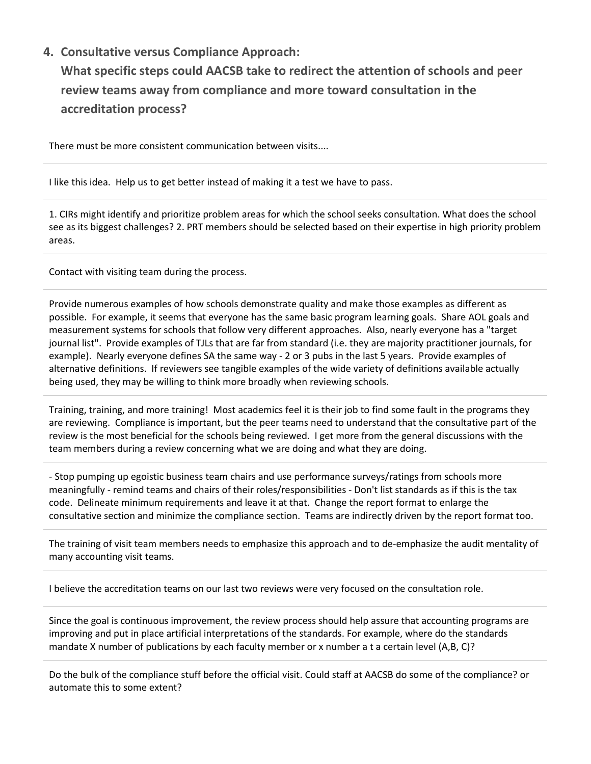#### **4. Consultative versus Compliance Approach:**

**What specific steps could AACSB take to redirect the attention of schools and peer review teams away from compliance and more toward consultation in the accreditation process?**

There must be more consistent communication between visits....

I like this idea. Help us to get better instead of making it a test we have to pass.

1. CIRs might identify and prioritize problem areas for which the school seeks consultation. What does the school see as its biggest challenges? 2. PRT members should be selected based on their expertise in high priority problem areas.

Contact with visiting team during the process.

Provide numerous examples of how schools demonstrate quality and make those examples as different as possible. For example, it seems that everyone has the same basic program learning goals. Share AOL goals and measurement systems for schools that follow very different approaches. Also, nearly everyone has a "target journal list". Provide examples of TJLs that are far from standard (i.e. they are majority practitioner journals, for example). Nearly everyone defines SA the same way - 2 or 3 pubs in the last 5 years. Provide examples of alternative definitions. If reviewers see tangible examples of the wide variety of definitions available actually being used, they may be willing to think more broadly when reviewing schools.

Training, training, and more training! Most academics feel it is their job to find some fault in the programs they are reviewing. Compliance is important, but the peer teams need to understand that the consultative part of the review is the most beneficial for the schools being reviewed. I get more from the general discussions with the team members during a review concerning what we are doing and what they are doing.

- Stop pumping up egoistic business team chairs and use performance surveys/ratings from schools more meaningfully - remind teams and chairs of their roles/responsibilities - Don't list standards as if this is the tax code. Delineate minimum requirements and leave it at that. Change the report format to enlarge the consultative section and minimize the compliance section. Teams are indirectly driven by the report format too.

The training of visit team members needs to emphasize this approach and to de-emphasize the audit mentality of many accounting visit teams.

I believe the accreditation teams on our last two reviews were very focused on the consultation role.

Since the goal is continuous improvement, the review process should help assure that accounting programs are improving and put in place artificial interpretations of the standards. For example, where do the standards mandate X number of publications by each faculty member or x number a t a certain level (A,B, C)?

Do the bulk of the compliance stuff before the official visit. Could staff at AACSB do some of the compliance? or automate this to some extent?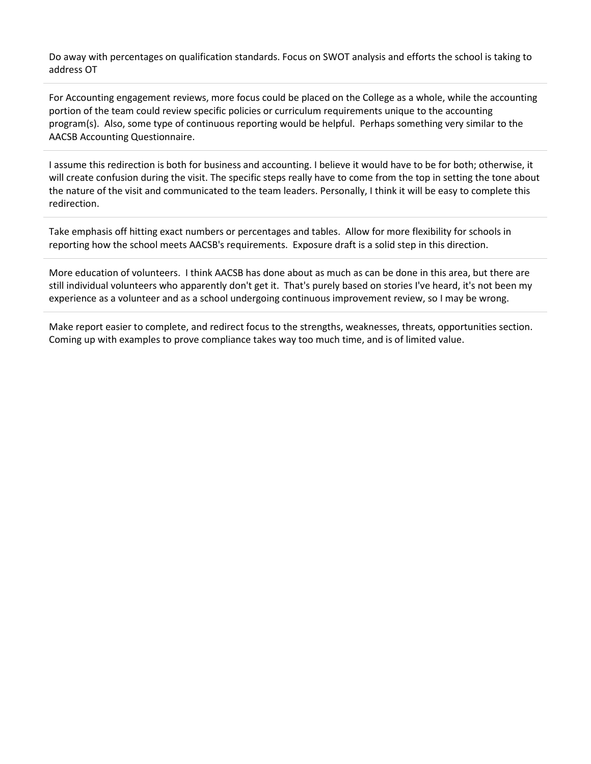Do away with percentages on qualification standards. Focus on SWOT analysis and efforts the school is taking to address OT

For Accounting engagement reviews, more focus could be placed on the College as a whole, while the accounting portion of the team could review specific policies or curriculum requirements unique to the accounting program(s). Also, some type of continuous reporting would be helpful. Perhaps something very similar to the AACSB Accounting Questionnaire.

I assume this redirection is both for business and accounting. I believe it would have to be for both; otherwise, it will create confusion during the visit. The specific steps really have to come from the top in setting the tone about the nature of the visit and communicated to the team leaders. Personally, I think it will be easy to complete this redirection.

Take emphasis off hitting exact numbers or percentages and tables. Allow for more flexibility for schools in reporting how the school meets AACSB's requirements. Exposure draft is a solid step in this direction.

More education of volunteers. I think AACSB has done about as much as can be done in this area, but there are still individual volunteers who apparently don't get it. That's purely based on stories I've heard, it's not been my experience as a volunteer and as a school undergoing continuous improvement review, so I may be wrong.

Make report easier to complete, and redirect focus to the strengths, weaknesses, threats, opportunities section. Coming up with examples to prove compliance takes way too much time, and is of limited value.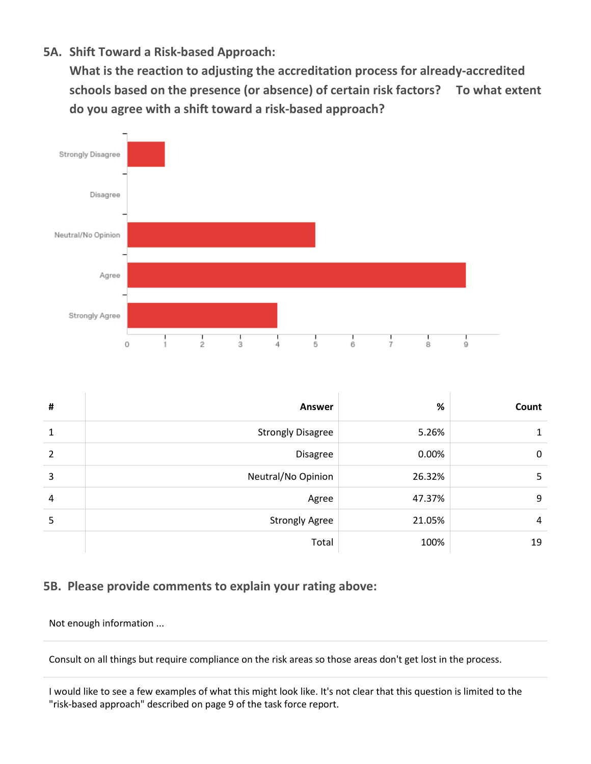**5A. Shift Toward a Risk-based Approach:** 

**What is the reaction to adjusting the accreditation process for already-accredited schools based on the presence (or absence) of certain risk factors? To what extent do you agree with a shift toward a risk-based approach?**



| # | <b>Answer</b>            | %      | Count |
|---|--------------------------|--------|-------|
| 1 | <b>Strongly Disagree</b> | 5.26%  | 1     |
| 2 | Disagree                 | 0.00%  | 0     |
| 3 | Neutral/No Opinion       | 26.32% | 5     |
| 4 | Agree                    | 47.37% | 9     |
| 5 | <b>Strongly Agree</b>    | 21.05% | 4     |
|   | Total                    | 100%   | 19    |

#### **5B. Please provide comments to explain your rating above:**

Not enough information ...

Consult on all things but require compliance on the risk areas so those areas don't get lost in the process.

I would like to see a few examples of what this might look like. It's not clear that this question is limited to the "risk-based approach" described on page 9 of the task force report.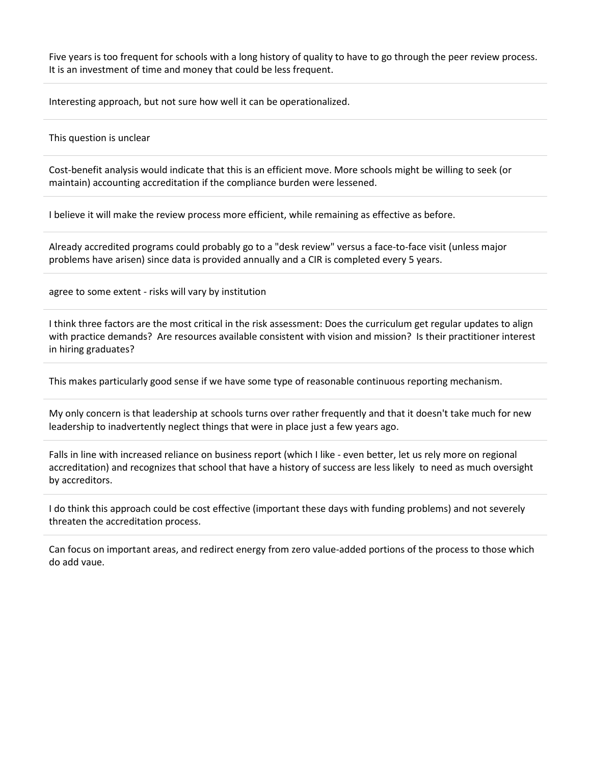Five years is too frequent for schools with a long history of quality to have to go through the peer review process. It is an investment of time and money that could be less frequent.

Interesting approach, but not sure how well it can be operationalized.

This question is unclear

Cost-benefit analysis would indicate that this is an efficient move. More schools might be willing to seek (or maintain) accounting accreditation if the compliance burden were lessened.

I believe it will make the review process more efficient, while remaining as effective as before.

Already accredited programs could probably go to a "desk review" versus a face-to-face visit (unless major problems have arisen) since data is provided annually and a CIR is completed every 5 years.

agree to some extent - risks will vary by institution

I think three factors are the most critical in the risk assessment: Does the curriculum get regular updates to align with practice demands? Are resources available consistent with vision and mission? Is their practitioner interest in hiring graduates?

This makes particularly good sense if we have some type of reasonable continuous reporting mechanism.

My only concern is that leadership at schools turns over rather frequently and that it doesn't take much for new leadership to inadvertently neglect things that were in place just a few years ago.

Falls in line with increased reliance on business report (which I like - even better, let us rely more on regional accreditation) and recognizes that school that have a history of success are less likely to need as much oversight by accreditors.

I do think this approach could be cost effective (important these days with funding problems) and not severely threaten the accreditation process.

Can focus on important areas, and redirect energy from zero value-added portions of the process to those which do add vaue.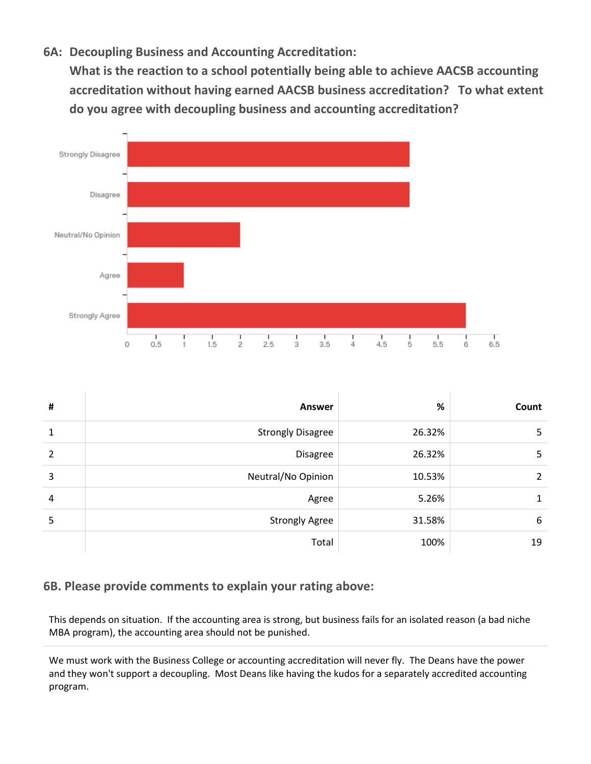### **6A: Decoupling Business and Accounting Accreditation:**

**What is the reaction to a school potentially being able to achieve AACSB accounting accreditation without having earned AACSB business accreditation? To what extent do you agree with decoupling business and accounting accreditation?**



| # | <b>Answer</b>            | %      | Count |
|---|--------------------------|--------|-------|
| 1 | <b>Strongly Disagree</b> | 26.32% | 5     |
| 2 | <b>Disagree</b>          | 26.32% | 5     |
| 3 | Neutral/No Opinion       | 10.53% | 2     |
| 4 | Agree                    | 5.26%  |       |
| 5 | <b>Strongly Agree</b>    | 31.58% | 6     |
|   | Total                    | 100%   | 19    |

#### **6B. Please provide comments to explain your rating above:**

This depends on situation. If the accounting area is strong, but business fails for an isolated reason (a bad niche MBA program), the accounting area should not be punished.

We must work with the Business College or accounting accreditation will never fly. The Deans have the power and they won't support a decoupling. Most Deans like having the kudos for a separately accredited accounting program.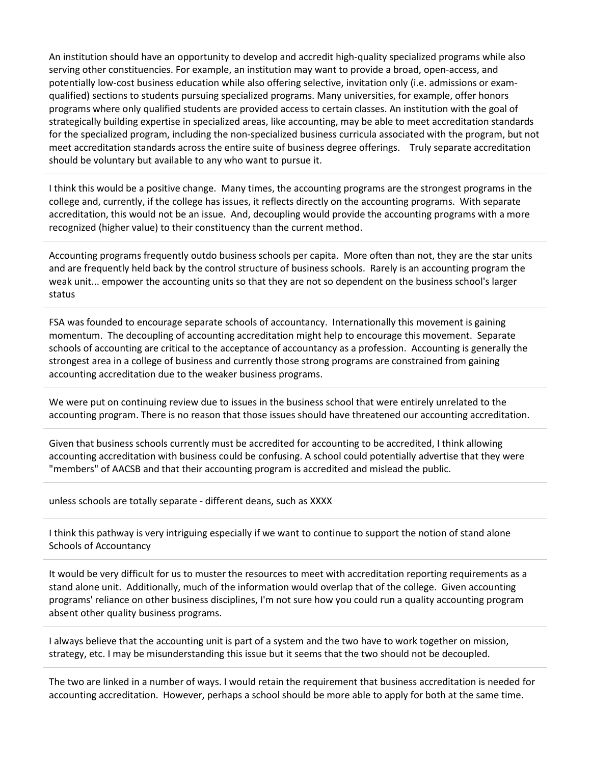An institution should have an opportunity to develop and accredit high-quality specialized programs while also serving other constituencies. For example, an institution may want to provide a broad, open-access, and potentially low-cost business education while also offering selective, invitation only (i.e. admissions or examqualified) sections to students pursuing specialized programs. Many universities, for example, offer honors programs where only qualified students are provided access to certain classes. An institution with the goal of strategically building expertise in specialized areas, like accounting, may be able to meet accreditation standards for the specialized program, including the non-specialized business curricula associated with the program, but not meet accreditation standards across the entire suite of business degree offerings. Truly separate accreditation should be voluntary but available to any who want to pursue it.

I think this would be a positive change. Many times, the accounting programs are the strongest programs in the college and, currently, if the college has issues, it reflects directly on the accounting programs. With separate accreditation, this would not be an issue. And, decoupling would provide the accounting programs with a more recognized (higher value) to their constituency than the current method.

Accounting programs frequently outdo business schools per capita. More often than not, they are the star units and are frequently held back by the control structure of business schools. Rarely is an accounting program the weak unit... empower the accounting units so that they are not so dependent on the business school's larger status

FSA was founded to encourage separate schools of accountancy. Internationally this movement is gaining momentum. The decoupling of accounting accreditation might help to encourage this movement. Separate schools of accounting are critical to the acceptance of accountancy as a profession. Accounting is generally the strongest area in a college of business and currently those strong programs are constrained from gaining accounting accreditation due to the weaker business programs.

We were put on continuing review due to issues in the business school that were entirely unrelated to the accounting program. There is no reason that those issues should have threatened our accounting accreditation.

Given that business schools currently must be accredited for accounting to be accredited, I think allowing accounting accreditation with business could be confusing. A school could potentially advertise that they were "members" of AACSB and that their accounting program is accredited and mislead the public.

unless schools are totally separate - different deans, such as XXXX

I think this pathway is very intriguing especially if we want to continue to support the notion of stand alone Schools of Accountancy

It would be very difficult for us to muster the resources to meet with accreditation reporting requirements as a stand alone unit. Additionally, much of the information would overlap that of the college. Given accounting programs' reliance on other business disciplines, I'm not sure how you could run a quality accounting program absent other quality business programs.

I always believe that the accounting unit is part of a system and the two have to work together on mission, strategy, etc. I may be misunderstanding this issue but it seems that the two should not be decoupled.

The two are linked in a number of ways. I would retain the requirement that business accreditation is needed for accounting accreditation. However, perhaps a school should be more able to apply for both at the same time.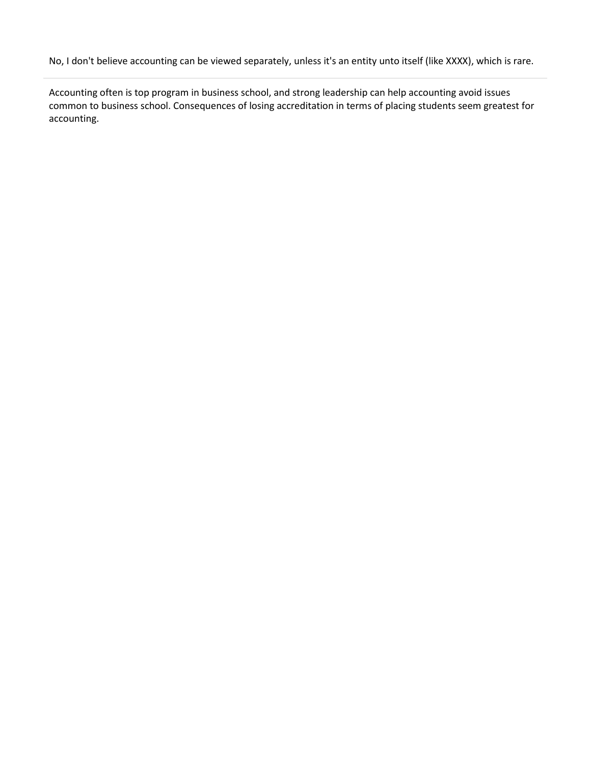No, I don't believe accounting can be viewed separately, unless it's an entity unto itself (like XXXX), which is rare.

Accounting often is top program in business school, and strong leadership can help accounting avoid issues common to business school. Consequences of losing accreditation in terms of placing students seem greatest for accounting.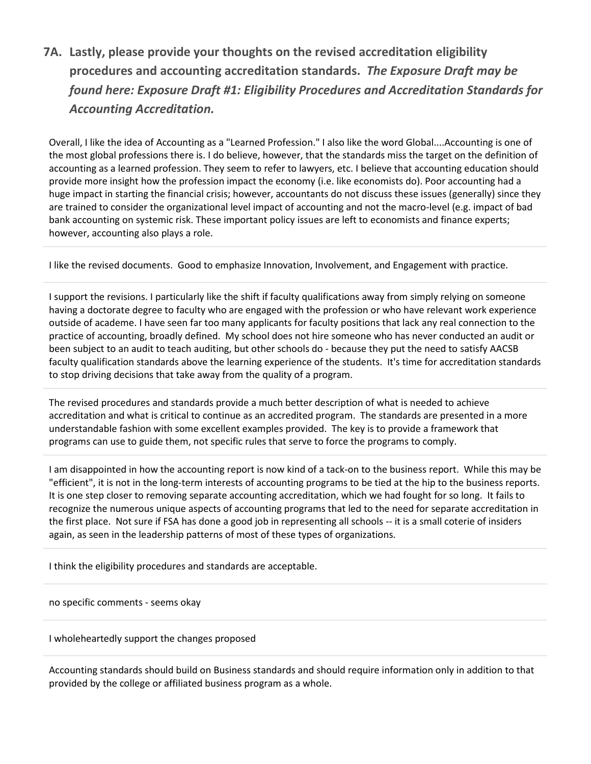**7A. Lastly, please provide your thoughts on the revised accreditation eligibility procedures and accounting accreditation standards.** *The Exposure Draft may be found here: Exposure Draft #1: Eligibility Procedures and Accreditation Standards for Accounting Accreditation.*

Overall, I like the idea of Accounting as a "Learned Profession." I also like the word Global....Accounting is one of the most global professions there is. I do believe, however, that the standards miss the target on the definition of accounting as a learned profession. They seem to refer to lawyers, etc. I believe that accounting education should provide more insight how the profession impact the economy (i.e. like economists do). Poor accounting had a huge impact in starting the financial crisis; however, accountants do not discuss these issues (generally) since they are trained to consider the organizational level impact of accounting and not the macro-level (e.g. impact of bad bank accounting on systemic risk. These important policy issues are left to economists and finance experts; however, accounting also plays a role.

I like the revised documents. Good to emphasize Innovation, Involvement, and Engagement with practice.

I support the revisions. I particularly like the shift if faculty qualifications away from simply relying on someone having a doctorate degree to faculty who are engaged with the profession or who have relevant work experience outside of academe. I have seen far too many applicants for faculty positions that lack any real connection to the practice of accounting, broadly defined. My school does not hire someone who has never conducted an audit or been subject to an audit to teach auditing, but other schools do - because they put the need to satisfy AACSB faculty qualification standards above the learning experience of the students. It's time for accreditation standards to stop driving decisions that take away from the quality of a program.

The revised procedures and standards provide a much better description of what is needed to achieve accreditation and what is critical to continue as an accredited program. The standards are presented in a more understandable fashion with some excellent examples provided. The key is to provide a framework that programs can use to guide them, not specific rules that serve to force the programs to comply.

I am disappointed in how the accounting report is now kind of a tack-on to the business report. While this may be "efficient", it is not in the long-term interests of accounting programs to be tied at the hip to the business reports. It is one step closer to removing separate accounting accreditation, which we had fought for so long. It fails to recognize the numerous unique aspects of accounting programs that led to the need for separate accreditation in the first place. Not sure if FSA has done a good job in representing all schools -- it is a small coterie of insiders again, as seen in the leadership patterns of most of these types of organizations.

I think the eligibility procedures and standards are acceptable.

no specific comments - seems okay

#### I wholeheartedly support the changes proposed

Accounting standards should build on Business standards and should require information only in addition to that provided by the college or affiliated business program as a whole.